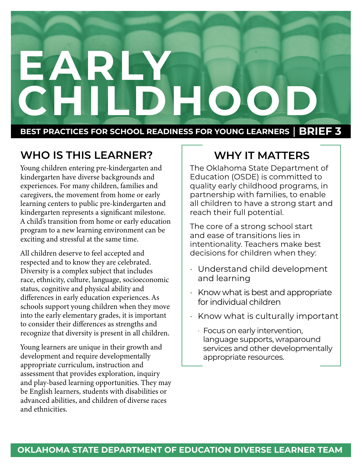# **EARLY CHILDHOOD BEST PRACTICES FOR SCHOOL READINESS FOR YOUNG LEARNERS** | **BRIEF 3**

## **WHO IS THIS LEARNER?**

Young children entering pre-kindergarten and kindergarten have diverse backgrounds and experiences. For many children, families and caregivers, the movement from home or early learning centers to public pre-kindergarten and kindergarten represents a significant milestone. A child's transition from home or early education program to a new learning environment can be exciting and stressful at the same time.

All children deserve to feel accepted and respected and to know they are celebrated. Diversity is a complex subject that includes race, ethnicity, culture, language, socioeconomic status, cognitive and physical ability and differences in early education experiences. As schools support young children when they move into the early elementary grades, it is important to consider their differences as strengths and recognize that diversity is present in all children.

Young learners are unique in their growth and development and require developmentally appropriate curriculum, instruction and assessment that provides exploration, inquiry and play-based learning opportunities. They may be English learners, students with disabilities or advanced abilities, and children of diverse races and ethnicities.

## **WHY IT MATTERS**

The Oklahoma State Department of Education (OSDE) is committed to quality early childhood programs, in partnership with families, to enable all children to have a strong start and reach their full potential.

The core of a strong school start and ease of transitions lies in intentionality. Teachers make best decisions for children when they:

- Understand child development and learning
- Know what is best and appropriate for individual children
- Know what is culturally important
	- · Focus on early intervention, language supports, wraparound services and other developmentally appropriate resources.